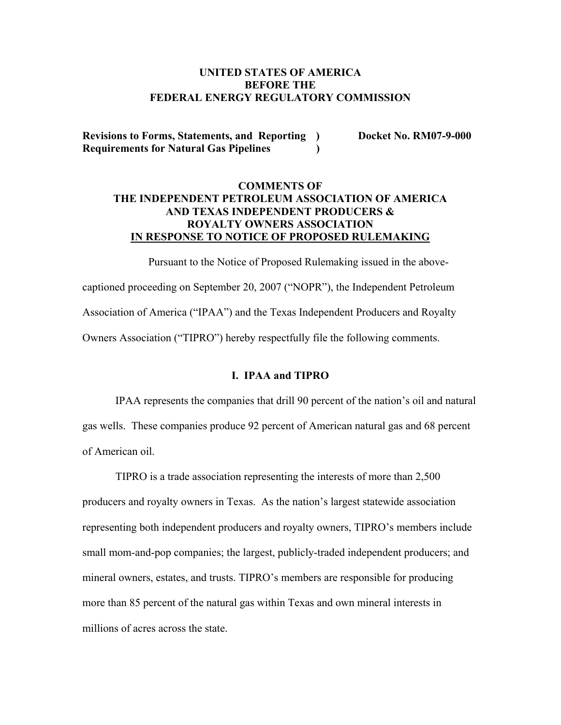# **UNITED STATES OF AMERICA BEFORE THE FEDERAL ENERGY REGULATORY COMMISSION**

**Revisions to Forms, Statements, and Reporting ) Docket No. RM07-9-000 Requirements for Natural Gas Pipelines )** 

# **COMMENTS OF THE INDEPENDENT PETROLEUM ASSOCIATION OF AMERICA AND TEXAS INDEPENDENT PRODUCERS & ROYALTY OWNERS ASSOCIATION IN RESPONSE TO NOTICE OF PROPOSED RULEMAKING**

Pursuant to the Notice of Proposed Rulemaking issued in the abovecaptioned proceeding on September 20, 2007 ("NOPR"), the Independent Petroleum Association of America ("IPAA") and the Texas Independent Producers and Royalty Owners Association ("TIPRO") hereby respectfully file the following comments.

#### **I. IPAA and TIPRO**

IPAA represents the companies that drill 90 percent of the nation's oil and natural gas wells. These companies produce 92 percent of American natural gas and 68 percent of American oil.

TIPRO is a trade association representing the interests of more than 2,500 producers and royalty owners in Texas. As the nation's largest statewide association representing both independent producers and royalty owners, TIPRO's members include small mom-and-pop companies; the largest, publicly-traded independent producers; and mineral owners, estates, and trusts. TIPRO's members are responsible for producing more than 85 percent of the natural gas within Texas and own mineral interests in millions of acres across the state.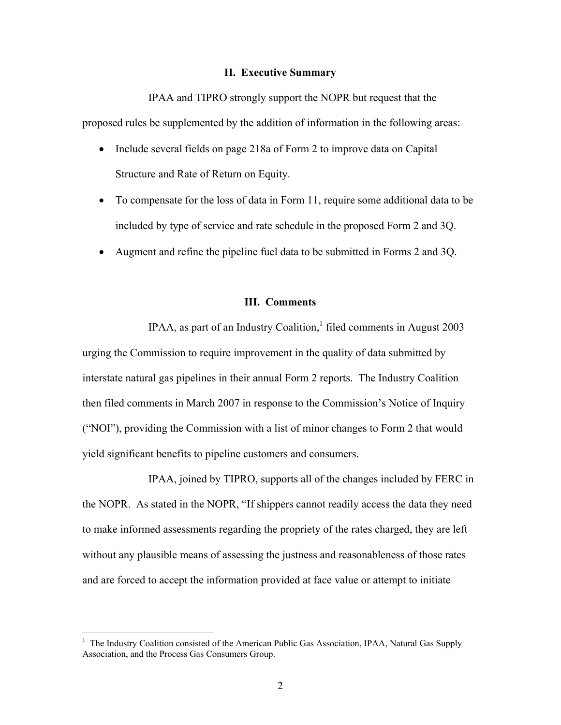### **II. Executive Summary**

IPAA and TIPRO strongly support the NOPR but request that the proposed rules be supplemented by the addition of information in the following areas:

- Include several fields on page 218a of Form 2 to improve data on Capital Structure and Rate of Return on Equity.
- To compensate for the loss of data in Form 11, require some additional data to be included by type of service and rate schedule in the proposed Form 2 and 3Q.
- Augment and refine the pipeline fuel data to be submitted in Forms 2 and 3Q.

# **III. Comments**

IPAA, as part of an Industry Coalition, $1$  filed comments in August 2003 urging the Commission to require improvement in the quality of data submitted by interstate natural gas pipelines in their annual Form 2 reports. The Industry Coalition then filed comments in March 2007 in response to the Commission's Notice of Inquiry ("NOI"), providing the Commission with a list of minor changes to Form 2 that would yield significant benefits to pipeline customers and consumers.

IPAA, joined by TIPRO, supports all of the changes included by FERC in the NOPR. As stated in the NOPR, "If shippers cannot readily access the data they need to make informed assessments regarding the propriety of the rates charged, they are left without any plausible means of assessing the justness and reasonableness of those rates and are forced to accept the information provided at face value or attempt to initiate

 $\overline{a}$ 

<sup>1</sup> The Industry Coalition consisted of the American Public Gas Association, IPAA, Natural Gas Supply Association, and the Process Gas Consumers Group.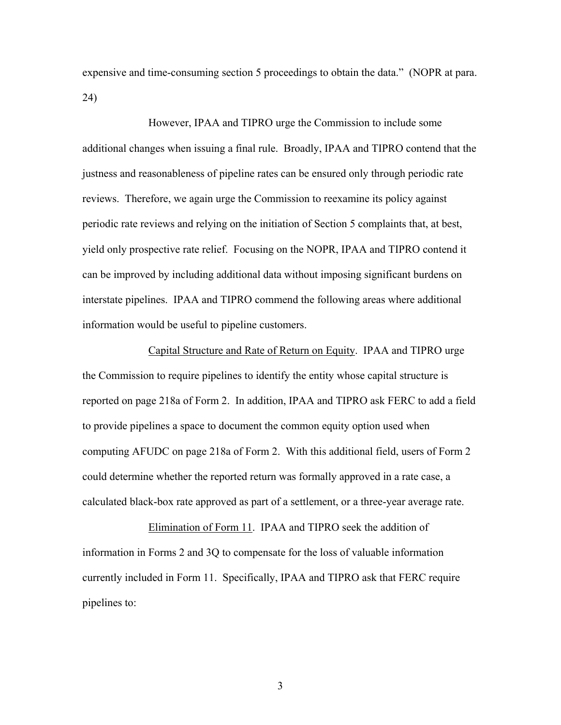expensive and time-consuming section 5 proceedings to obtain the data." (NOPR at para. 24)

However, IPAA and TIPRO urge the Commission to include some additional changes when issuing a final rule. Broadly, IPAA and TIPRO contend that the justness and reasonableness of pipeline rates can be ensured only through periodic rate reviews. Therefore, we again urge the Commission to reexamine its policy against periodic rate reviews and relying on the initiation of Section 5 complaints that, at best, yield only prospective rate relief. Focusing on the NOPR, IPAA and TIPRO contend it can be improved by including additional data without imposing significant burdens on interstate pipelines. IPAA and TIPRO commend the following areas where additional information would be useful to pipeline customers.

Capital Structure and Rate of Return on Equity. IPAA and TIPRO urge the Commission to require pipelines to identify the entity whose capital structure is reported on page 218a of Form 2. In addition, IPAA and TIPRO ask FERC to add a field to provide pipelines a space to document the common equity option used when computing AFUDC on page 218a of Form 2. With this additional field, users of Form 2 could determine whether the reported return was formally approved in a rate case, a calculated black-box rate approved as part of a settlement, or a three-year average rate.

Elimination of Form 11. IPAA and TIPRO seek the addition of information in Forms 2 and 3Q to compensate for the loss of valuable information currently included in Form 11. Specifically, IPAA and TIPRO ask that FERC require pipelines to:

3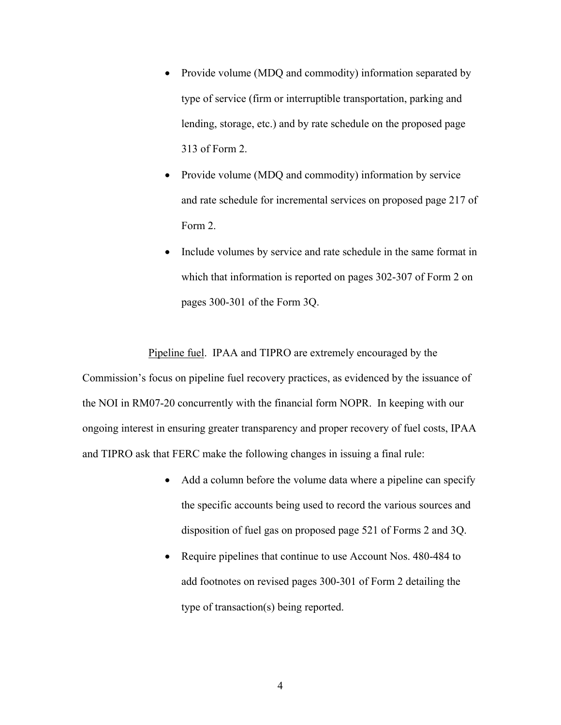- Provide volume (MDQ and commodity) information separated by type of service (firm or interruptible transportation, parking and lending, storage, etc.) and by rate schedule on the proposed page 313 of Form 2.
- Provide volume (MDQ and commodity) information by service and rate schedule for incremental services on proposed page 217 of Form 2.
- Include volumes by service and rate schedule in the same format in which that information is reported on pages 302-307 of Form 2 on pages 300-301 of the Form 3Q.

Pipeline fuel. IPAA and TIPRO are extremely encouraged by the Commission's focus on pipeline fuel recovery practices, as evidenced by the issuance of the NOI in RM07-20 concurrently with the financial form NOPR. In keeping with our ongoing interest in ensuring greater transparency and proper recovery of fuel costs, IPAA and TIPRO ask that FERC make the following changes in issuing a final rule:

- Add a column before the volume data where a pipeline can specify the specific accounts being used to record the various sources and disposition of fuel gas on proposed page 521 of Forms 2 and 3Q.
- Require pipelines that continue to use Account Nos. 480-484 to add footnotes on revised pages 300-301 of Form 2 detailing the type of transaction(s) being reported.

4